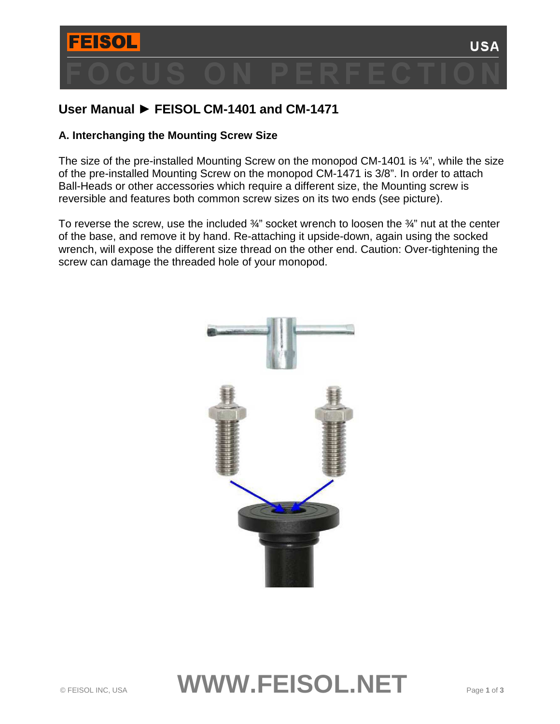

# **User Manual ► FEISOL CM-1401 and CM-1471**

### **A. Interchanging the Mounting Screw Size**

The size of the pre-installed Mounting Screw on the monopod CM-1401 is  $\frac{1}{4}$ , while the size of the pre-installed Mounting Screw on the monopod CM-1471 is 3/8". In order to attach Ball-Heads or other accessories which require a different size, the Mounting screw is reversible and features both common screw sizes on its two ends (see picture).

To reverse the screw, use the included  $\frac{3}{4}$ " socket wrench to loosen the  $\frac{3}{4}$ " nut at the center of the base, and remove it by hand. Re-attaching it upside-down, again using the socked wrench, will expose the different size thread on the other end. Caution: Over-tightening the screw can damage the threaded hole of your monopod.



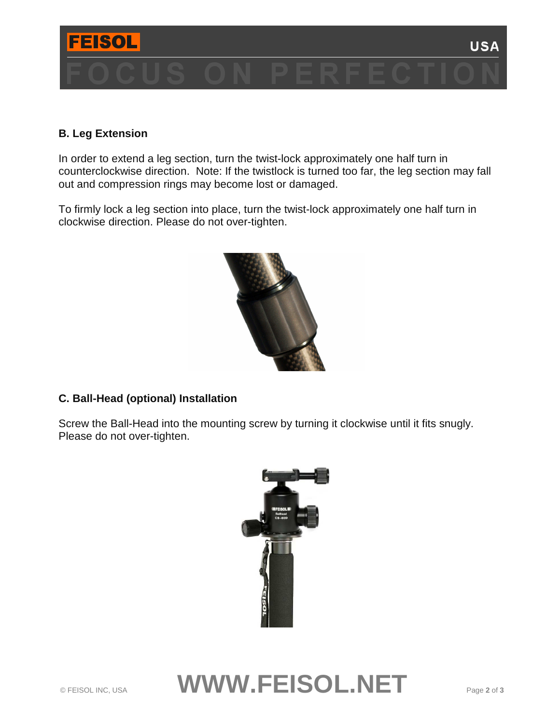

### **B. Leg Extension**

In order to extend a leg section, turn the twist-lock approximately one half turn in counterclockwise direction. Note: If the twistlock is turned too far, the leg section may fall out and compression rings may become lost or damaged.

To firmly lock a leg section into place, turn the twist-lock approximately one half turn in clockwise direction. Please do not over-tighten.



## **C. Ball-Head (optional) Installation**

Screw the Ball-Head into the mounting screw by turning it clockwise until it fits snugly. Please do not over-tighten.